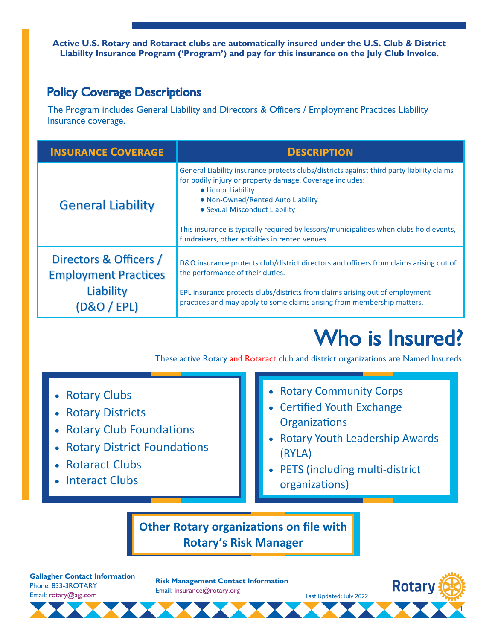**Active U.S. Rotary and Rotaract clubs are automatically insured under the U.S. Club & District Liability Insurance Program ('Program') and pay for this insurance on the July Club Invoice.**

## **Policy Coverage Descriptions**

The Program includes General Liability and Directors & Officers / Employment Practices Liability Insurance coverage.

| <b>INSURANCE COVERAGE</b>                                                                   | <b>DESCRIPTION</b>                                                                                                                                                                                                                                                                                                                                                                             |
|---------------------------------------------------------------------------------------------|------------------------------------------------------------------------------------------------------------------------------------------------------------------------------------------------------------------------------------------------------------------------------------------------------------------------------------------------------------------------------------------------|
| <b>General Liability</b>                                                                    | General Liability insurance protects clubs/districts against third party liability claims<br>for bodily injury or property damage. Coverage includes:<br>• Liquor Liability<br>• Non-Owned/Rented Auto Liability<br>• Sexual Misconduct Liability<br>This insurance is typically required by lessors/municipalities when clubs hold events,<br>fundraisers, other activities in rented venues. |
| Directors & Officers /<br><b>Employment Practices</b><br>Liability<br><b>D&amp;O / EPL)</b> | D&O insurance protects club/district directors and officers from claims arising out of<br>the performance of their duties.<br>EPL insurance protects clubs/districts from claims arising out of employment<br>practices and may apply to some claims arising from membership matters.                                                                                                          |

## Who is Insured?

These active Rotary and Rotaract club and district organizations are Named Insureds

- Rotary Clubs
- Rotary Districts
- Rotary Club Foundations
- Rotary District Foundations
- Rotaract Clubs
- Interact Clubs
- Rotary Community Corps
- Certified Youth Exchange **Organizations**
- Rotary Youth Leadership Awards (RYLA)
- PETS (including multi-district organizations)

Last Updated: July 2022

**Other Rotary organizations on file with Rotary's Risk Manager**

**Gallagher Contact Information** Phone: 833-3ROTARY Email: [rotary@ajg.com](mailto:rotary@ajg.com)

**Risk Management Contact Information** Email: [insurance@rotary.org](mailto:insurance@rotary.org)